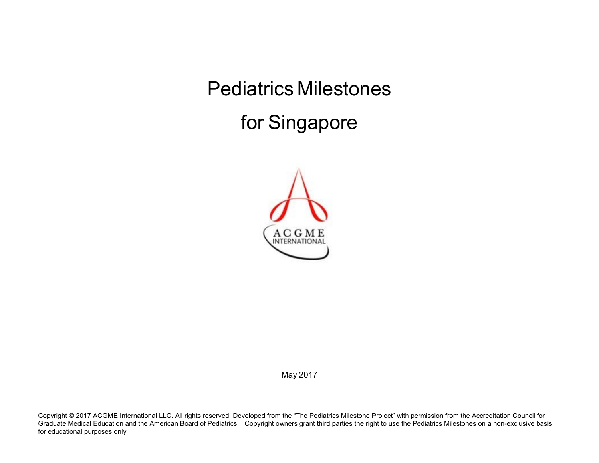Pediatrics Milestones

for Singapore



May 2017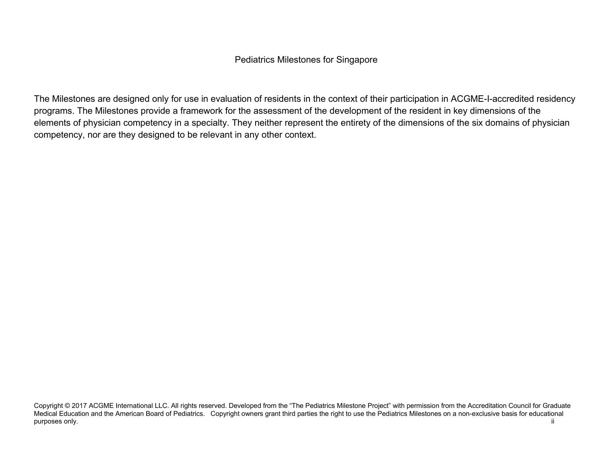## Pediatrics Milestones for Singapore

The Milestones are designed only for use in evaluation of residents in the context of their participation in ACGME-I-accredited residency programs. The Milestones provide a framework for the assessment of the development of the resident in key dimensions of the elements of physician competency in a specialty. They neither represent the entirety of the dimensions of the six domains of physician competency, nor are they designed to be relevant in any other context.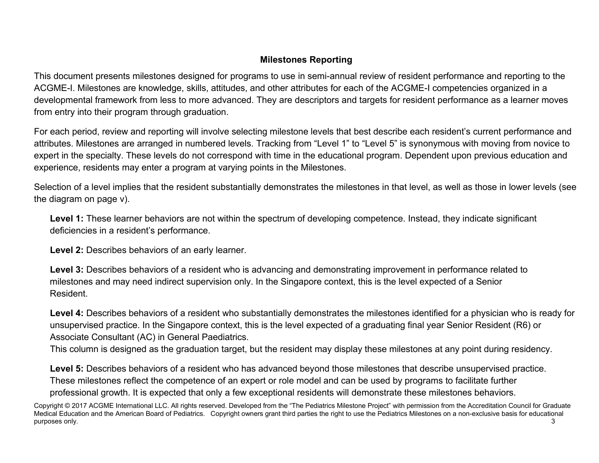## **Milestones Reporting**

This document presents milestones designed for programs to use in semi-annual review of resident performance and reporting to the ACGME-I. Milestones are knowledge, skills, attitudes, and other attributes for each of the ACGME-I competencies organized in a developmental framework from less to more advanced. They are descriptors and targets for resident performance as a learner moves from entry into their program through graduation.

For each period, review and reporting will involve selecting milestone levels that best describe each resident's current performance and attributes. Milestones are arranged in numbered levels. Tracking from "Level 1" to "Level 5" is synonymous with moving from novice to expert in the specialty. These levels do not correspond with time in the educational program. Dependent upon previous education and experience, residents may enter a program at varying points in the Milestones.

Selection of a level implies that the resident substantially demonstrates the milestones in that level, as well as those in lower levels (see the diagram on page v).

Level 1: These learner behaviors are not within the spectrum of developing competence. Instead, they indicate significant deficiencies in a resident's performance.

**Level 2:** Describes behaviors of an early learner.

**Level 3:** Describes behaviors of a resident who is advancing and demonstrating improvement in performance related to milestones and may need indirect supervision only. In the Singapore context, this is the level expected of a Senior Resident.

**Level 4:** Describes behaviors of a resident who substantially demonstrates the milestones identified for a physician who is ready for unsupervised practice. In the Singapore context, this is the level expected of a graduating final year Senior Resident (R6) or Associate Consultant (AC) in General Paediatrics.

This column is designed as the graduation target, but the resident may display these milestones at any point during residency.

Level 5: Describes behaviors of a resident who has advanced beyond those milestones that describe unsupervised practice. These milestones reflect the competence of an expert or role model and can be used by programs to facilitate further professional growth. It is expected that only a few exceptional residents will demonstrate these milestones behaviors.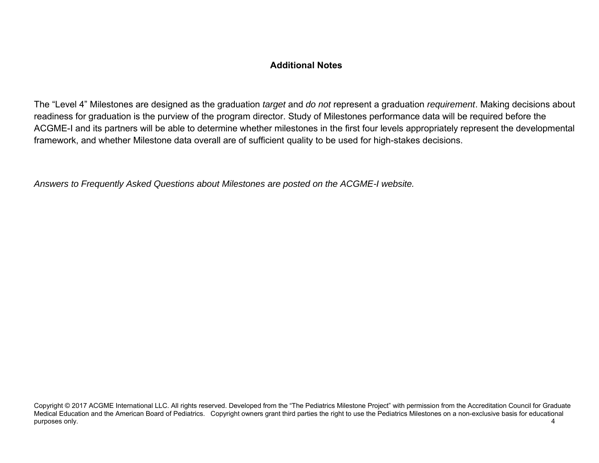## **Additional Notes**

The "Level 4" Milestones are designed as the graduation *target* and *do not* represent a graduation *requirement*. Making decisions about readiness for graduation is the purview of the program director. Study of Milestones performance data will be required before the ACGME-I and its partners will be able to determine whether milestones in the first four levels appropriately represent the developmental framework, and whether Milestone data overall are of sufficient quality to be used for high-stakes decisions.

*Answers to Frequently Asked Questions about Milestones are posted on the ACGME-I website.*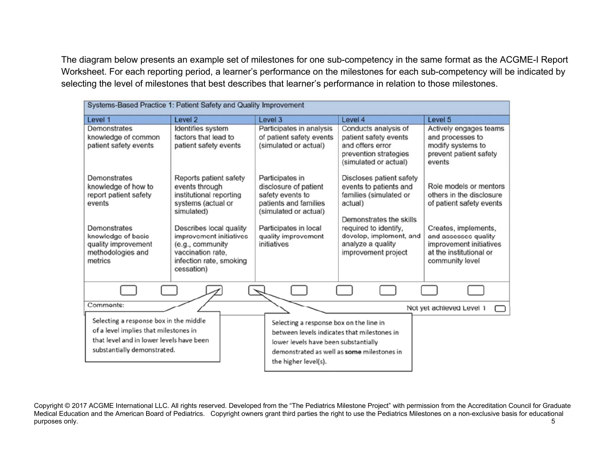The diagram below presents an example set of milestones for one sub-competency in the same format as the ACGME-I Report Worksheet. For each reporting period, a learner's performance on the milestones for each sub-competency will be indicated by selecting the level of milestones that best describes that learner's performance in relation to those milestones.

| Systems-Based Practice 1: Patient Safety and Quality Improvement                                                                                           |                                                                                                                                                               |                                                                                                                                                                                                      |                                                                                                                                                                        |                                                                                                                                |  |
|------------------------------------------------------------------------------------------------------------------------------------------------------------|---------------------------------------------------------------------------------------------------------------------------------------------------------------|------------------------------------------------------------------------------------------------------------------------------------------------------------------------------------------------------|------------------------------------------------------------------------------------------------------------------------------------------------------------------------|--------------------------------------------------------------------------------------------------------------------------------|--|
| Level 1                                                                                                                                                    | Level <sub>2</sub>                                                                                                                                            | Level 3                                                                                                                                                                                              | Level 4                                                                                                                                                                | Level 5                                                                                                                        |  |
| Demonstrates<br>knowledge of common<br>patient safety events                                                                                               | Identifies system<br>factors that lead to<br>patient safety events                                                                                            | Participates in analysis<br>of patient safety events<br>(simulated or actual)                                                                                                                        | Conducts analysis of<br>patient safety events<br>and offers error<br>prevention strategies<br>(simulated or actual)                                                    | Actively engages teams<br>and processes to<br>modify systems to<br>prevent patient safety<br>events                            |  |
| Demonstrates<br>knowledge of how to<br>report patient safety<br>events<br><b>Demonstrates</b><br>knowledge of basic                                        | Reports patient safety<br>events through<br>institutional reporting<br>systems (actual or<br>simulated)<br>Describes local quality<br>improvement initiatives | Participates in<br>disclosure of patient<br>safety events to<br>patients and families<br>(simulated or actual)<br>Participates in local<br>quality improvement                                       | Discloses patient safety<br>events to patients and<br>families (simulated or<br>actual)<br>Demonstrates the skills<br>required to identify,<br>develop, implement, and | Role models or mentors<br>others in the disclosure<br>of patient safety events<br>Creates, implements,<br>and assesses quality |  |
| quality improvement<br>methodologies and<br>metrics                                                                                                        | (e.g., community<br>vaccination rate,<br>infection rate, smoking<br>cessation)                                                                                | initiatives                                                                                                                                                                                          | analyze a quality<br>improvement project                                                                                                                               | improvement initiatives<br>at the institutional or<br>community level                                                          |  |
|                                                                                                                                                            |                                                                                                                                                               |                                                                                                                                                                                                      |                                                                                                                                                                        |                                                                                                                                |  |
| Comments:                                                                                                                                                  |                                                                                                                                                               |                                                                                                                                                                                                      |                                                                                                                                                                        | Not yet achieved Level 1                                                                                                       |  |
| Selecting a response box in the middle<br>of a level implies that milestones in<br>that level and in lower levels have been<br>substantially demonstrated. |                                                                                                                                                               | Selecting a response box on the line in<br>between levels indicates that milestones in<br>lower levels have been substantially<br>demonstrated as well as some milestones in<br>the higher level(s). |                                                                                                                                                                        |                                                                                                                                |  |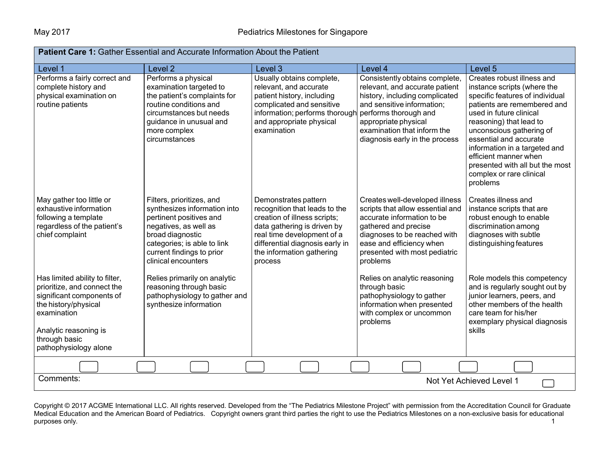| <b>Patient Care 1: Gather Essential and Accurate Information About the Patient</b>                                                                                                                   |                                                                                                                                                                                                                      |                                                                                                                                                                                                                               |                                                                                                                                                                                                                                                    |                                                                                                                                                                                                                                                                                                                                                                              |  |  |  |
|------------------------------------------------------------------------------------------------------------------------------------------------------------------------------------------------------|----------------------------------------------------------------------------------------------------------------------------------------------------------------------------------------------------------------------|-------------------------------------------------------------------------------------------------------------------------------------------------------------------------------------------------------------------------------|----------------------------------------------------------------------------------------------------------------------------------------------------------------------------------------------------------------------------------------------------|------------------------------------------------------------------------------------------------------------------------------------------------------------------------------------------------------------------------------------------------------------------------------------------------------------------------------------------------------------------------------|--|--|--|
| Level 1                                                                                                                                                                                              | Level <sub>2</sub>                                                                                                                                                                                                   | Level 3                                                                                                                                                                                                                       | Level 4                                                                                                                                                                                                                                            | Level 5                                                                                                                                                                                                                                                                                                                                                                      |  |  |  |
| Performs a fairly correct and<br>complete history and<br>physical examination on<br>routine patients                                                                                                 | Performs a physical<br>examination targeted to<br>the patient's complaints for<br>routine conditions and<br>circumstances but needs<br>guidance in unusual and<br>more complex<br>circumstances                      | Usually obtains complete,<br>relevant, and accurate<br>patient history, including<br>complicated and sensitive<br>information; performs thorough<br>and appropriate physical<br>examination                                   | Consistently obtains complete,<br>relevant, and accurate patient<br>history, including complicated<br>and sensitive information;<br>performs thorough and<br>appropriate physical<br>examination that inform the<br>diagnosis early in the process | Creates robust illness and<br>instance scripts (where the<br>specific features of individual<br>patients are remembered and<br>used in future clinical<br>reasoning) that lead to<br>unconscious gathering of<br>essential and accurate<br>information in a targeted and<br>efficient manner when<br>presented with all but the most<br>complex or rare clinical<br>problems |  |  |  |
| May gather too little or<br>exhaustive information<br>following a template<br>regardless of the patient's<br>chief complaint                                                                         | Filters, prioritizes, and<br>synthesizes information into<br>pertinent positives and<br>negatives, as well as<br>broad diagnostic<br>categories; is able to link<br>current findings to prior<br>clinical encounters | Demonstrates pattern<br>recognition that leads to the<br>creation of illness scripts;<br>data gathering is driven by<br>real time development of a<br>differential diagnosis early in<br>the information gathering<br>process | Creates well-developed illness<br>scripts that allow essential and<br>accurate information to be<br>gathered and precise<br>diagnoses to be reached with<br>ease and efficiency when<br>presented with most pediatric<br>problems                  | Creates illness and<br>instance scripts that are<br>robust enough to enable<br>discrimination among<br>diagnoses with subtle<br>distinguishing features                                                                                                                                                                                                                      |  |  |  |
| Has limited ability to filter,<br>prioritize, and connect the<br>significant components of<br>the history/physical<br>examination<br>Analytic reasoning is<br>through basic<br>pathophysiology alone | Relies primarily on analytic<br>reasoning through basic<br>pathophysiology to gather and<br>synthesize information                                                                                                   |                                                                                                                                                                                                                               | Relies on analytic reasoning<br>through basic<br>pathophysiology to gather<br>information when presented<br>with complex or uncommon<br>problems                                                                                                   | Role models this competency<br>and is regularly sought out by<br>junior learners, peers, and<br>other members of the health<br>care team for his/her<br>exemplary physical diagnosis<br>skills                                                                                                                                                                               |  |  |  |
|                                                                                                                                                                                                      |                                                                                                                                                                                                                      |                                                                                                                                                                                                                               |                                                                                                                                                                                                                                                    |                                                                                                                                                                                                                                                                                                                                                                              |  |  |  |
|                                                                                                                                                                                                      | Comments:<br>Not Yet Achieved Level 1                                                                                                                                                                                |                                                                                                                                                                                                                               |                                                                                                                                                                                                                                                    |                                                                                                                                                                                                                                                                                                                                                                              |  |  |  |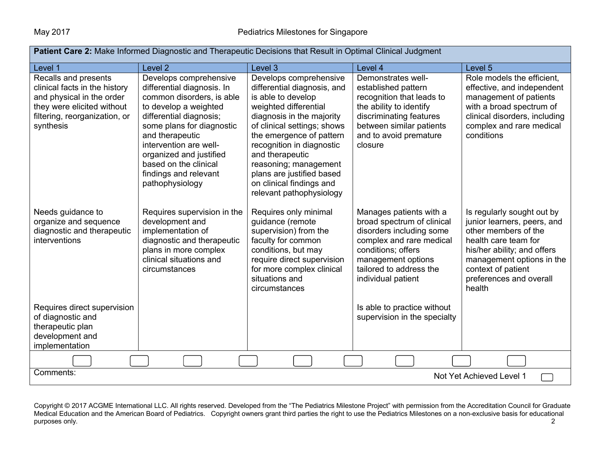| Patient Care 2: Make Informed Diagnostic and Therapeutic Decisions that Result in Optimal Clinical Judgment                                                    |                                                                                                                                                                                                                                                                                                                 |                                                                                                                                                                                                                                                                                                                                                            |                                                                                                                                                                                                            |                                                                                                                                                                                                                                  |  |  |  |
|----------------------------------------------------------------------------------------------------------------------------------------------------------------|-----------------------------------------------------------------------------------------------------------------------------------------------------------------------------------------------------------------------------------------------------------------------------------------------------------------|------------------------------------------------------------------------------------------------------------------------------------------------------------------------------------------------------------------------------------------------------------------------------------------------------------------------------------------------------------|------------------------------------------------------------------------------------------------------------------------------------------------------------------------------------------------------------|----------------------------------------------------------------------------------------------------------------------------------------------------------------------------------------------------------------------------------|--|--|--|
| Level 1                                                                                                                                                        | Level <sub>2</sub>                                                                                                                                                                                                                                                                                              | Level 3                                                                                                                                                                                                                                                                                                                                                    | Level 4                                                                                                                                                                                                    | Level 5                                                                                                                                                                                                                          |  |  |  |
| Recalls and presents<br>clinical facts in the history<br>and physical in the order<br>they were elicited without<br>filtering, reorganization, or<br>synthesis | Develops comprehensive<br>differential diagnosis. In<br>common disorders, is able<br>to develop a weighted<br>differential diagnosis;<br>some plans for diagnostic<br>and therapeutic<br>intervention are well-<br>organized and justified<br>based on the clinical<br>findings and relevant<br>pathophysiology | Develops comprehensive<br>differential diagnosis, and<br>is able to develop<br>weighted differential<br>diagnosis in the majority<br>of clinical settings; shows<br>the emergence of pattern<br>recognition in diagnostic<br>and therapeutic<br>reasoning; management<br>plans are justified based<br>on clinical findings and<br>relevant pathophysiology | Demonstrates well-<br>established pattern<br>recognition that leads to<br>the ability to identify<br>discriminating features<br>between similar patients<br>and to avoid premature<br>closure              | Role models the efficient,<br>effective, and independent<br>management of patients<br>with a broad spectrum of<br>clinical disorders, including<br>complex and rare medical<br>conditions                                        |  |  |  |
| Needs guidance to<br>organize and sequence<br>diagnostic and therapeutic<br>interventions                                                                      | Requires supervision in the<br>development and<br>implementation of<br>diagnostic and therapeutic<br>plans in more complex<br>clinical situations and<br>circumstances                                                                                                                                          | Requires only minimal<br>guidance (remote<br>supervision) from the<br>faculty for common<br>conditions, but may<br>require direct supervision<br>for more complex clinical<br>situations and<br>circumstances                                                                                                                                              | Manages patients with a<br>broad spectrum of clinical<br>disorders including some<br>complex and rare medical<br>conditions; offers<br>management options<br>tailored to address the<br>individual patient | Is regularly sought out by<br>junior learners, peers, and<br>other members of the<br>health care team for<br>his/her ability; and offers<br>management options in the<br>context of patient<br>preferences and overall<br>health |  |  |  |
| Requires direct supervision<br>of diagnostic and<br>therapeutic plan<br>development and<br>implementation                                                      |                                                                                                                                                                                                                                                                                                                 |                                                                                                                                                                                                                                                                                                                                                            | Is able to practice without<br>supervision in the specialty                                                                                                                                                |                                                                                                                                                                                                                                  |  |  |  |
|                                                                                                                                                                |                                                                                                                                                                                                                                                                                                                 |                                                                                                                                                                                                                                                                                                                                                            |                                                                                                                                                                                                            |                                                                                                                                                                                                                                  |  |  |  |
| Comments:<br>Not Yet Achieved Level 1                                                                                                                          |                                                                                                                                                                                                                                                                                                                 |                                                                                                                                                                                                                                                                                                                                                            |                                                                                                                                                                                                            |                                                                                                                                                                                                                                  |  |  |  |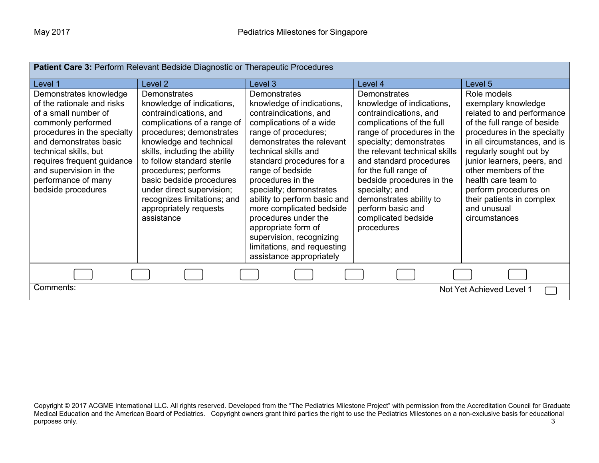| <b>Patient Care 3: Perform Relevant Bedside Diagnostic or Therapeutic Procedures</b>                                                                                                                                                                                                      |                                                                                                                                                                                                                                                                                                                                                                                  |                                                                                                                                                                                                                                                                                                                                                                                                                                                                                |                                                                                                                                                                                                                                                                                                                                                                                    |                                                                                                                                                                                                                                                                                                                                                               |  |
|-------------------------------------------------------------------------------------------------------------------------------------------------------------------------------------------------------------------------------------------------------------------------------------------|----------------------------------------------------------------------------------------------------------------------------------------------------------------------------------------------------------------------------------------------------------------------------------------------------------------------------------------------------------------------------------|--------------------------------------------------------------------------------------------------------------------------------------------------------------------------------------------------------------------------------------------------------------------------------------------------------------------------------------------------------------------------------------------------------------------------------------------------------------------------------|------------------------------------------------------------------------------------------------------------------------------------------------------------------------------------------------------------------------------------------------------------------------------------------------------------------------------------------------------------------------------------|---------------------------------------------------------------------------------------------------------------------------------------------------------------------------------------------------------------------------------------------------------------------------------------------------------------------------------------------------------------|--|
| Level 1                                                                                                                                                                                                                                                                                   | Level 2                                                                                                                                                                                                                                                                                                                                                                          | Level 3                                                                                                                                                                                                                                                                                                                                                                                                                                                                        | Level 4                                                                                                                                                                                                                                                                                                                                                                            | Level 5                                                                                                                                                                                                                                                                                                                                                       |  |
| Demonstrates knowledge<br>of the rationale and risks<br>of a small number of<br>commonly performed<br>procedures in the specialty<br>and demonstrates basic<br>technical skills, but<br>requires frequent guidance<br>and supervision in the<br>performance of many<br>bedside procedures | Demonstrates<br>knowledge of indications,<br>contraindications, and<br>complications of a range of<br>procedures; demonstrates<br>knowledge and technical<br>skills, including the ability<br>to follow standard sterile<br>procedures; performs<br>basic bedside procedures<br>under direct supervision;<br>recognizes limitations; and<br>appropriately requests<br>assistance | Demonstrates<br>knowledge of indications,<br>contraindications, and<br>complications of a wide<br>range of procedures;<br>demonstrates the relevant<br>technical skills and<br>standard procedures for a<br>range of bedside<br>procedures in the<br>specialty; demonstrates<br>ability to perform basic and<br>more complicated bedside<br>procedures under the<br>appropriate form of<br>supervision, recognizing<br>limitations, and requesting<br>assistance appropriately | Demonstrates<br>knowledge of indications,<br>contraindications, and<br>complications of the full<br>range of procedures in the<br>specialty; demonstrates<br>the relevant technical skills<br>and standard procedures<br>for the full range of<br>bedside procedures in the<br>specialty; and<br>demonstrates ability to<br>perform basic and<br>complicated bedside<br>procedures | Role models<br>exemplary knowledge<br>related to and performance<br>of the full range of beside<br>procedures in the specialty<br>in all circumstances, and is<br>regularly sought out by<br>junior learners, peers, and<br>other members of the<br>health care team to<br>perform procedures on<br>their patients in complex<br>and unusual<br>circumstances |  |
|                                                                                                                                                                                                                                                                                           |                                                                                                                                                                                                                                                                                                                                                                                  |                                                                                                                                                                                                                                                                                                                                                                                                                                                                                |                                                                                                                                                                                                                                                                                                                                                                                    |                                                                                                                                                                                                                                                                                                                                                               |  |
| Comments:<br>Not Yet Achieved Level 1                                                                                                                                                                                                                                                     |                                                                                                                                                                                                                                                                                                                                                                                  |                                                                                                                                                                                                                                                                                                                                                                                                                                                                                |                                                                                                                                                                                                                                                                                                                                                                                    |                                                                                                                                                                                                                                                                                                                                                               |  |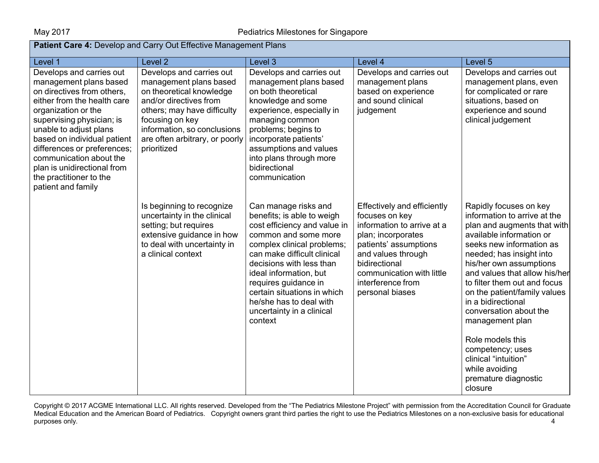| Patient Care 4: Develop and Carry Out Effective Management Plans                                                                                                                                                                                                                                                                                                       |                                                                                                                                                                                                                                            |                                                                                                                                                                                                                                                                                                                                                         |                                                                                                                                                                                                                                        |                                                                                                                                                                                                                                                                                                                                                                                                                                                                                               |  |  |
|------------------------------------------------------------------------------------------------------------------------------------------------------------------------------------------------------------------------------------------------------------------------------------------------------------------------------------------------------------------------|--------------------------------------------------------------------------------------------------------------------------------------------------------------------------------------------------------------------------------------------|---------------------------------------------------------------------------------------------------------------------------------------------------------------------------------------------------------------------------------------------------------------------------------------------------------------------------------------------------------|----------------------------------------------------------------------------------------------------------------------------------------------------------------------------------------------------------------------------------------|-----------------------------------------------------------------------------------------------------------------------------------------------------------------------------------------------------------------------------------------------------------------------------------------------------------------------------------------------------------------------------------------------------------------------------------------------------------------------------------------------|--|--|
| Level 1                                                                                                                                                                                                                                                                                                                                                                | Level <sub>2</sub>                                                                                                                                                                                                                         | Level 3                                                                                                                                                                                                                                                                                                                                                 | Level 4                                                                                                                                                                                                                                | Level 5                                                                                                                                                                                                                                                                                                                                                                                                                                                                                       |  |  |
| Develops and carries out<br>management plans based<br>on directives from others,<br>either from the health care<br>organization or the<br>supervising physician; is<br>unable to adjust plans<br>based on individual patient<br>differences or preferences;<br>communication about the<br>plan is unidirectional from<br>the practitioner to the<br>patient and family | Develops and carries out<br>management plans based<br>on theoretical knowledge<br>and/or directives from<br>others; may have difficulty<br>focusing on key<br>information, so conclusions<br>are often arbitrary, or poorly<br>prioritized | Develops and carries out<br>management plans based<br>on both theoretical<br>knowledge and some<br>experience, especially in<br>managing common<br>problems; begins to<br>incorporate patients'<br>assumptions and values<br>into plans through more<br>bidirectional<br>communication                                                                  | Develops and carries out<br>management plans<br>based on experience<br>and sound clinical<br>judgement                                                                                                                                 | Develops and carries out<br>management plans, even<br>for complicated or rare<br>situations, based on<br>experience and sound<br>clinical judgement                                                                                                                                                                                                                                                                                                                                           |  |  |
|                                                                                                                                                                                                                                                                                                                                                                        | Is beginning to recognize<br>uncertainty in the clinical<br>setting; but requires<br>extensive guidance in how<br>to deal with uncertainty in<br>a clinical context                                                                        | Can manage risks and<br>benefits; is able to weigh<br>cost efficiency and value in<br>common and some more<br>complex clinical problems;<br>can make difficult clinical<br>decisions with less than<br>ideal information, but<br>requires guidance in<br>certain situations in which<br>he/she has to deal with<br>uncertainty in a clinical<br>context | Effectively and efficiently<br>focuses on key<br>information to arrive at a<br>plan; incorporates<br>patients' assumptions<br>and values through<br>bidirectional<br>communication with little<br>interference from<br>personal biases | Rapidly focuses on key<br>information to arrive at the<br>plan and augments that with<br>available information or<br>seeks new information as<br>needed; has insight into<br>his/her own assumptions<br>and values that allow his/her<br>to filter them out and focus<br>on the patient/family values<br>in a bidirectional<br>conversation about the<br>management plan<br>Role models this<br>competency; uses<br>clinical "intuition"<br>while avoiding<br>premature diagnostic<br>closure |  |  |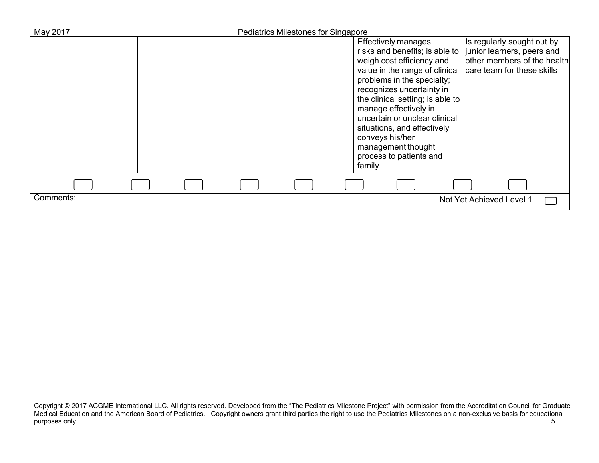| May 2017  | Pediatrics Milestones for Singapore                                                                                                                                                                                                                                                                                                                             |                                                                                                                                                        |
|-----------|-----------------------------------------------------------------------------------------------------------------------------------------------------------------------------------------------------------------------------------------------------------------------------------------------------------------------------------------------------------------|--------------------------------------------------------------------------------------------------------------------------------------------------------|
|           | <b>Effectively manages</b><br>risks and benefits; is able to<br>weigh cost efficiency and<br>problems in the specialty;<br>recognizes uncertainty in<br>the clinical setting; is able to<br>manage effectively in<br>uncertain or unclear clinical<br>situations, and effectively<br>conveys his/her<br>management thought<br>process to patients and<br>family | Is regularly sought out by<br>junior learners, peers and<br>other members of the health<br>value in the range of clinical   care team for these skills |
|           |                                                                                                                                                                                                                                                                                                                                                                 |                                                                                                                                                        |
| Comments: |                                                                                                                                                                                                                                                                                                                                                                 | Not Yet Achieved Level 1                                                                                                                               |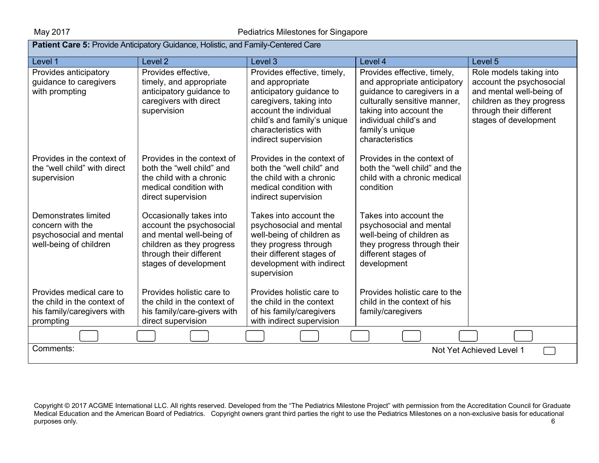| <b>Patient Care 5: Provide Anticipatory Guidance, Holistic, and Family-Centered Care</b>           |                                                                                                                                                                  |                                                                                                                                                                                                                |                                                                                                                                                                                                                       |                                                                                                                                                                  |  |  |
|----------------------------------------------------------------------------------------------------|------------------------------------------------------------------------------------------------------------------------------------------------------------------|----------------------------------------------------------------------------------------------------------------------------------------------------------------------------------------------------------------|-----------------------------------------------------------------------------------------------------------------------------------------------------------------------------------------------------------------------|------------------------------------------------------------------------------------------------------------------------------------------------------------------|--|--|
| Level 1                                                                                            | Level <sub>2</sub>                                                                                                                                               | Level 3                                                                                                                                                                                                        | Level 4                                                                                                                                                                                                               | Level 5                                                                                                                                                          |  |  |
| Provides anticipatory<br>guidance to caregivers<br>with prompting                                  | Provides effective,<br>timely, and appropriate<br>anticipatory guidance to<br>caregivers with direct<br>supervision                                              | Provides effective, timely,<br>and appropriate<br>anticipatory guidance to<br>caregivers, taking into<br>account the individual<br>child's and family's unique<br>characteristics with<br>indirect supervision | Provides effective, timely,<br>and appropriate anticipatory<br>guidance to caregivers in a<br>culturally sensitive manner,<br>taking into account the<br>individual child's and<br>family's unique<br>characteristics | Role models taking into<br>account the psychosocial<br>and mental well-being of<br>children as they progress<br>through their different<br>stages of development |  |  |
| Provides in the context of<br>the "well child" with direct<br>supervision                          | Provides in the context of<br>both the "well child" and<br>the child with a chronic<br>medical condition with<br>direct supervision                              | Provides in the context of<br>both the "well child" and<br>the child with a chronic<br>medical condition with<br>indirect supervision                                                                          | Provides in the context of<br>both the "well child" and the<br>child with a chronic medical<br>condition                                                                                                              |                                                                                                                                                                  |  |  |
| Demonstrates limited<br>concern with the<br>psychosocial and mental<br>well-being of children      | Occasionally takes into<br>account the psychosocial<br>and mental well-being of<br>children as they progress<br>through their different<br>stages of development | Takes into account the<br>psychosocial and mental<br>well-being of children as<br>they progress through<br>their different stages of<br>development with indirect<br>supervision                               | Takes into account the<br>psychosocial and mental<br>well-being of children as<br>they progress through their<br>different stages of<br>development                                                                   |                                                                                                                                                                  |  |  |
| Provides medical care to<br>the child in the context of<br>his family/caregivers with<br>prompting | Provides holistic care to<br>the child in the context of<br>his family/care-givers with<br>direct supervision                                                    | Provides holistic care to<br>the child in the context<br>of his family/caregivers<br>with indirect supervision                                                                                                 | Provides holistic care to the<br>child in the context of his<br>family/caregivers                                                                                                                                     |                                                                                                                                                                  |  |  |
|                                                                                                    |                                                                                                                                                                  |                                                                                                                                                                                                                |                                                                                                                                                                                                                       |                                                                                                                                                                  |  |  |
| Comments:<br>Not Yet Achieved Level 1                                                              |                                                                                                                                                                  |                                                                                                                                                                                                                |                                                                                                                                                                                                                       |                                                                                                                                                                  |  |  |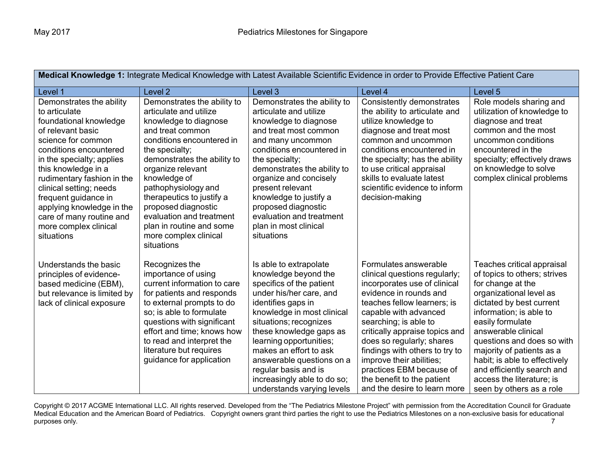| Medical Knowledge 1: Integrate Medical Knowledge with Latest Available Scientific Evidence in order to Provide Effective Patient Care                                                                                                                                                                                                                                         |                                                                                                                                                                                                                                                                                                                                                                                                 |                                                                                                                                                                                                                                                                                                                                                                                       |                                                                                                                                                                                                                                                                                                                                                                                                                          |                                                                                                                                                                                                                                                                                                                                                                                                 |  |  |
|-------------------------------------------------------------------------------------------------------------------------------------------------------------------------------------------------------------------------------------------------------------------------------------------------------------------------------------------------------------------------------|-------------------------------------------------------------------------------------------------------------------------------------------------------------------------------------------------------------------------------------------------------------------------------------------------------------------------------------------------------------------------------------------------|---------------------------------------------------------------------------------------------------------------------------------------------------------------------------------------------------------------------------------------------------------------------------------------------------------------------------------------------------------------------------------------|--------------------------------------------------------------------------------------------------------------------------------------------------------------------------------------------------------------------------------------------------------------------------------------------------------------------------------------------------------------------------------------------------------------------------|-------------------------------------------------------------------------------------------------------------------------------------------------------------------------------------------------------------------------------------------------------------------------------------------------------------------------------------------------------------------------------------------------|--|--|
| Level 1                                                                                                                                                                                                                                                                                                                                                                       | Level <sub>2</sub>                                                                                                                                                                                                                                                                                                                                                                              | Level 3                                                                                                                                                                                                                                                                                                                                                                               | Level 4                                                                                                                                                                                                                                                                                                                                                                                                                  | Level 5                                                                                                                                                                                                                                                                                                                                                                                         |  |  |
| Demonstrates the ability<br>to articulate<br>foundational knowledge<br>of relevant basic<br>science for common<br>conditions encountered<br>in the specialty; applies<br>this knowledge in a<br>rudimentary fashion in the<br>clinical setting; needs<br>frequent guidance in<br>applying knowledge in the<br>care of many routine and<br>more complex clinical<br>situations | Demonstrates the ability to<br>articulate and utilize<br>knowledge to diagnose<br>and treat common<br>conditions encountered in<br>the specialty;<br>demonstrates the ability to<br>organize relevant<br>knowledge of<br>pathophysiology and<br>therapeutics to justify a<br>proposed diagnostic<br>evaluation and treatment<br>plan in routine and some<br>more complex clinical<br>situations | Demonstrates the ability to<br>articulate and utilize<br>knowledge to diagnose<br>and treat most common<br>and many uncommon<br>conditions encountered in<br>the specialty;<br>demonstrates the ability to<br>organize and concisely<br>present relevant<br>knowledge to justify a<br>proposed diagnostic<br>evaluation and treatment<br>plan in most clinical<br>situations          | Consistently demonstrates<br>the ability to articulate and<br>utilize knowledge to<br>diagnose and treat most<br>common and uncommon<br>conditions encountered in<br>the specialty; has the ability<br>to use critical appraisal<br>skills to evaluate latest<br>scientific evidence to inform<br>decision-making                                                                                                        | Role models sharing and<br>utilization of knowledge to<br>diagnose and treat<br>common and the most<br>uncommon conditions<br>encountered in the<br>specialty; effectively draws<br>on knowledge to solve<br>complex clinical problems                                                                                                                                                          |  |  |
| Understands the basic<br>principles of evidence-<br>based medicine (EBM),<br>but relevance is limited by<br>lack of clinical exposure                                                                                                                                                                                                                                         | Recognizes the<br>importance of using<br>current information to care<br>for patients and responds<br>to external prompts to do<br>so; is able to formulate<br>questions with significant<br>effort and time; knows how<br>to read and interpret the<br>literature but requires<br>guidance for application                                                                                      | Is able to extrapolate<br>knowledge beyond the<br>specifics of the patient<br>under his/her care, and<br>identifies gaps in<br>knowledge in most clinical<br>situations; recognizes<br>these knowledge gaps as<br>learning opportunities;<br>makes an effort to ask<br>answerable questions on a<br>regular basis and is<br>increasingly able to do so;<br>understands varying levels | Formulates answerable<br>clinical questions regularly;<br>incorporates use of clinical<br>evidence in rounds and<br>teaches fellow learners; is<br>capable with advanced<br>searching; is able to<br>critically appraise topics and<br>does so regularly; shares<br>findings with others to try to<br>improve their abilities;<br>practices EBM because of<br>the benefit to the patient<br>and the desire to learn more | Teaches critical appraisal<br>of topics to others; strives<br>for change at the<br>organizational level as<br>dictated by best current<br>information; is able to<br>easily formulate<br>answerable clinical<br>questions and does so with<br>majority of patients as a<br>habit; is able to effectively<br>and efficiently search and<br>access the literature; is<br>seen by others as a role |  |  |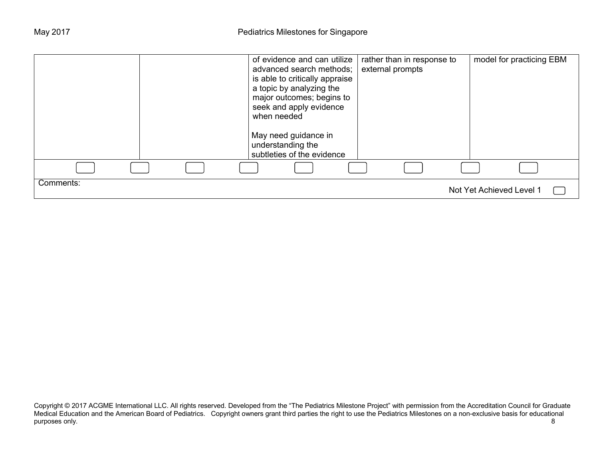|           |  | of evidence and can utilize<br>advanced search methods;<br>is able to critically appraise<br>a topic by analyzing the<br>major outcomes; begins to<br>seek and apply evidence<br>when needed<br>May need guidance in<br>understanding the<br>subtleties of the evidence | rather than in response to<br>external prompts |  | model for practicing EBM |  |
|-----------|--|-------------------------------------------------------------------------------------------------------------------------------------------------------------------------------------------------------------------------------------------------------------------------|------------------------------------------------|--|--------------------------|--|
|           |  |                                                                                                                                                                                                                                                                         |                                                |  |                          |  |
|           |  |                                                                                                                                                                                                                                                                         |                                                |  |                          |  |
| Comments: |  |                                                                                                                                                                                                                                                                         |                                                |  | Not Yet Achieved Level 1 |  |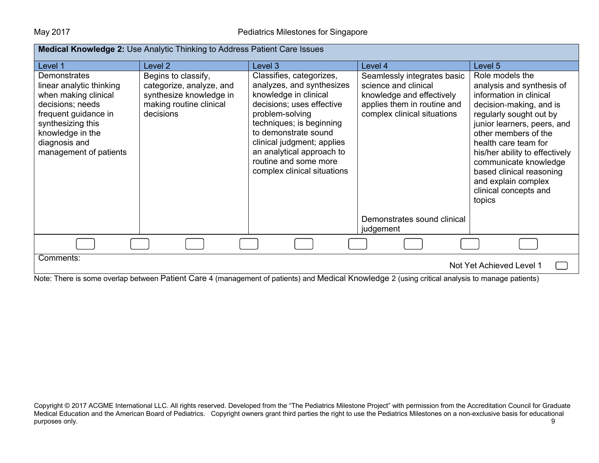| <b>Medical Knowledge 2: Use Analytic Thinking to Address Patient Care Issues</b>                                                                                                                        |                                                                                                                    |                                                                                                                                                                                                                                                                                                       |                                                                                                                                                |                                                                                                                                                                                                                                                                                                                                                               |  |  |
|---------------------------------------------------------------------------------------------------------------------------------------------------------------------------------------------------------|--------------------------------------------------------------------------------------------------------------------|-------------------------------------------------------------------------------------------------------------------------------------------------------------------------------------------------------------------------------------------------------------------------------------------------------|------------------------------------------------------------------------------------------------------------------------------------------------|---------------------------------------------------------------------------------------------------------------------------------------------------------------------------------------------------------------------------------------------------------------------------------------------------------------------------------------------------------------|--|--|
| Level 1                                                                                                                                                                                                 | Level 2                                                                                                            | Level 3                                                                                                                                                                                                                                                                                               | Level 4                                                                                                                                        | Level 5                                                                                                                                                                                                                                                                                                                                                       |  |  |
| <b>Demonstrates</b><br>linear analytic thinking<br>when making clinical<br>decisions; needs<br>frequent guidance in<br>synthesizing this<br>knowledge in the<br>diagnosis and<br>management of patients | Begins to classify,<br>categorize, analyze, and<br>synthesize knowledge in<br>making routine clinical<br>decisions | Classifies, categorizes,<br>analyzes, and synthesizes<br>knowledge in clinical<br>decisions; uses effective<br>problem-solving<br>techniques; is beginning<br>to demonstrate sound<br>clinical judgment; applies<br>an analytical approach to<br>routine and some more<br>complex clinical situations | Seamlessly integrates basic<br>science and clinical<br>knowledge and effectively<br>applies them in routine and<br>complex clinical situations | Role models the<br>analysis and synthesis of<br>information in clinical<br>decision-making, and is<br>regularly sought out by<br>junior learners, peers, and<br>other members of the<br>health care team for<br>his/her ability to effectively<br>communicate knowledge<br>based clinical reasoning<br>and explain complex<br>clinical concepts and<br>topics |  |  |
|                                                                                                                                                                                                         |                                                                                                                    |                                                                                                                                                                                                                                                                                                       | Demonstrates sound clinical<br>judgement                                                                                                       |                                                                                                                                                                                                                                                                                                                                                               |  |  |
|                                                                                                                                                                                                         |                                                                                                                    |                                                                                                                                                                                                                                                                                                       |                                                                                                                                                |                                                                                                                                                                                                                                                                                                                                                               |  |  |
| Comments:                                                                                                                                                                                               |                                                                                                                    |                                                                                                                                                                                                                                                                                                       |                                                                                                                                                | Not Yet Achieved Level 1                                                                                                                                                                                                                                                                                                                                      |  |  |

Note: There is some overlap between Patient Care 4 (management of patients) and Medical Knowledge 2 (using critical analysis to manage patients)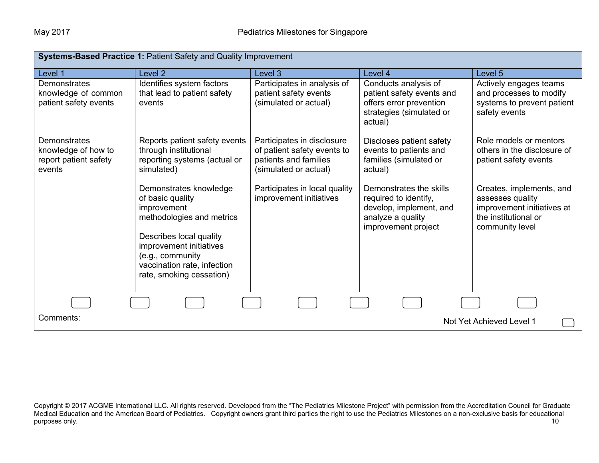| <b>Systems-Based Practice 1: Patient Safety and Quality Improvement</b> |                                                                                                                                                                                                                             |                                                                                                             |                                                                                                                         |                                                                                                                       |  |  |
|-------------------------------------------------------------------------|-----------------------------------------------------------------------------------------------------------------------------------------------------------------------------------------------------------------------------|-------------------------------------------------------------------------------------------------------------|-------------------------------------------------------------------------------------------------------------------------|-----------------------------------------------------------------------------------------------------------------------|--|--|
| Level 1                                                                 | Level 2                                                                                                                                                                                                                     | Level 3                                                                                                     | Level 4                                                                                                                 | Level 5                                                                                                               |  |  |
| Demonstrates<br>knowledge of common<br>patient safety events            | Identifies system factors<br>that lead to patient safety<br>events                                                                                                                                                          | Participates in analysis of<br>patient safety events<br>(simulated or actual)                               | Conducts analysis of<br>patient safety events and<br>offers error prevention<br>strategies (simulated or<br>actual)     | Actively engages teams<br>and processes to modify<br>systems to prevent patient<br>safety events                      |  |  |
| Demonstrates<br>knowledge of how to<br>report patient safety<br>events  | Reports patient safety events<br>through institutional<br>reporting systems (actual or<br>simulated)                                                                                                                        | Participates in disclosure<br>of patient safety events to<br>patients and families<br>(simulated or actual) | Discloses patient safety<br>events to patients and<br>families (simulated or<br>actual)                                 | Role models or mentors<br>others in the disclosure of<br>patient safety events                                        |  |  |
|                                                                         | Demonstrates knowledge<br>of basic quality<br>improvement<br>methodologies and metrics<br>Describes local quality<br>improvement initiatives<br>(e.g., community<br>vaccination rate, infection<br>rate, smoking cessation) | Participates in local quality<br>improvement initiatives                                                    | Demonstrates the skills<br>required to identify,<br>develop, implement, and<br>analyze a quality<br>improvement project | Creates, implements, and<br>assesses quality<br>improvement initiatives at<br>the institutional or<br>community level |  |  |
|                                                                         |                                                                                                                                                                                                                             |                                                                                                             |                                                                                                                         |                                                                                                                       |  |  |
| Comments:                                                               |                                                                                                                                                                                                                             |                                                                                                             |                                                                                                                         | Not Yet Achieved Level 1                                                                                              |  |  |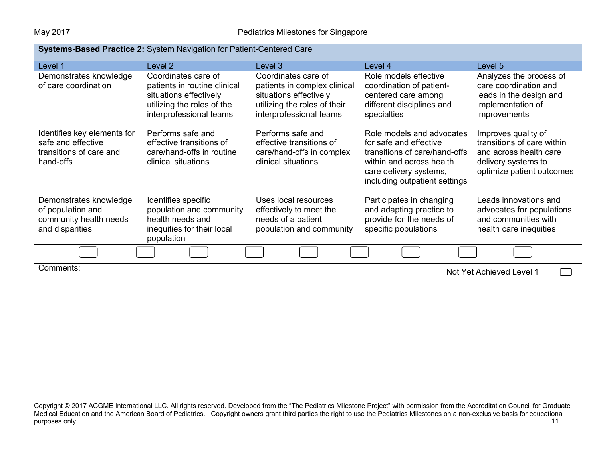| Systems-Based Practice 2: System Navigation for Patient-Centered Care                     |                                                                                                                                        |                                                                                                                                          |                                                                                                                                                                             |                                                                                                                                 |  |
|-------------------------------------------------------------------------------------------|----------------------------------------------------------------------------------------------------------------------------------------|------------------------------------------------------------------------------------------------------------------------------------------|-----------------------------------------------------------------------------------------------------------------------------------------------------------------------------|---------------------------------------------------------------------------------------------------------------------------------|--|
| Level 1                                                                                   | Level 2                                                                                                                                | Level 3                                                                                                                                  | Level 4                                                                                                                                                                     | Level 5                                                                                                                         |  |
| Demonstrates knowledge<br>of care coordination                                            | Coordinates care of<br>patients in routine clinical<br>situations effectively<br>utilizing the roles of the<br>interprofessional teams | Coordinates care of<br>patients in complex clinical<br>situations effectively<br>utilizing the roles of their<br>interprofessional teams | Role models effective<br>coordination of patient-<br>centered care among<br>different disciplines and<br>specialties                                                        | Analyzes the process of<br>care coordination and<br>leads in the design and<br>implementation of<br>improvements                |  |
| Identifies key elements for<br>safe and effective<br>transitions of care and<br>hand-offs | Performs safe and<br>effective transitions of<br>care/hand-offs in routine<br>clinical situations                                      | Performs safe and<br>effective transitions of<br>care/hand-offs in complex<br>clinical situations                                        | Role models and advocates<br>for safe and effective<br>transitions of care/hand-offs<br>within and across health<br>care delivery systems,<br>including outpatient settings | Improves quality of<br>transitions of care within<br>and across health care<br>delivery systems to<br>optimize patient outcomes |  |
| Demonstrates knowledge<br>of population and<br>community health needs<br>and disparities  | Identifies specific<br>population and community<br>health needs and<br>inequities for their local<br>population                        | Uses local resources<br>effectively to meet the<br>needs of a patient<br>population and community                                        | Participates in changing<br>and adapting practice to<br>provide for the needs of<br>specific populations                                                                    | Leads innovations and<br>advocates for populations<br>and communities with<br>health care inequities                            |  |
|                                                                                           |                                                                                                                                        |                                                                                                                                          |                                                                                                                                                                             |                                                                                                                                 |  |
| Comments:<br>Not Yet Achieved Level 1                                                     |                                                                                                                                        |                                                                                                                                          |                                                                                                                                                                             |                                                                                                                                 |  |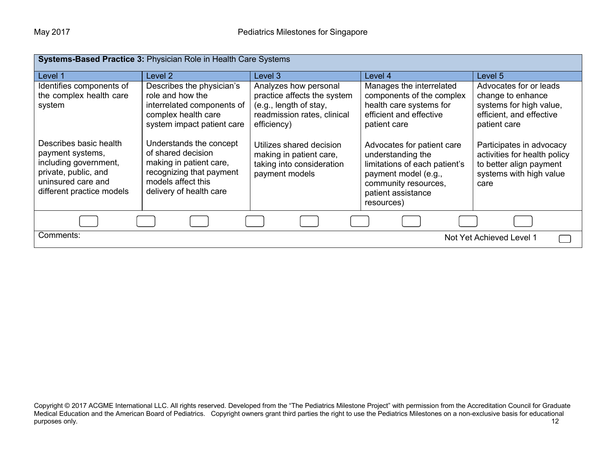| <b>Systems-Based Practice 3: Physician Role in Health Care Systems</b>                                                                         |                                                                                                                                                       |                                                                                                                              |                                                                                                                                                                      |                                                                                                                        |  |
|------------------------------------------------------------------------------------------------------------------------------------------------|-------------------------------------------------------------------------------------------------------------------------------------------------------|------------------------------------------------------------------------------------------------------------------------------|----------------------------------------------------------------------------------------------------------------------------------------------------------------------|------------------------------------------------------------------------------------------------------------------------|--|
| Level 1                                                                                                                                        | Level 2                                                                                                                                               | Level 3                                                                                                                      | Level 4                                                                                                                                                              | Level 5                                                                                                                |  |
| Identifies components of<br>the complex health care<br>system                                                                                  | Describes the physician's<br>role and how the<br>interrelated components of<br>complex health care<br>system impact patient care                      | Analyzes how personal<br>practice affects the system<br>(e.g., length of stay,<br>readmission rates, clinical<br>efficiency) | Manages the interrelated<br>components of the complex<br>health care systems for<br>efficient and effective<br>patient care                                          | Advocates for or leads<br>change to enhance<br>systems for high value,<br>efficient, and effective<br>patient care     |  |
| Describes basic health<br>payment systems,<br>including government,<br>private, public, and<br>uninsured care and<br>different practice models | Understands the concept<br>of shared decision<br>making in patient care,<br>recognizing that payment<br>models affect this<br>delivery of health care | Utilizes shared decision<br>making in patient care,<br>taking into consideration<br>payment models                           | Advocates for patient care<br>understanding the<br>limitations of each patient's<br>payment model (e.g.,<br>community resources,<br>patient assistance<br>resources) | Participates in advocacy<br>activities for health policy<br>to better align payment<br>systems with high value<br>care |  |
|                                                                                                                                                |                                                                                                                                                       |                                                                                                                              |                                                                                                                                                                      |                                                                                                                        |  |
| Comments:<br>Not Yet Achieved Level 1                                                                                                          |                                                                                                                                                       |                                                                                                                              |                                                                                                                                                                      |                                                                                                                        |  |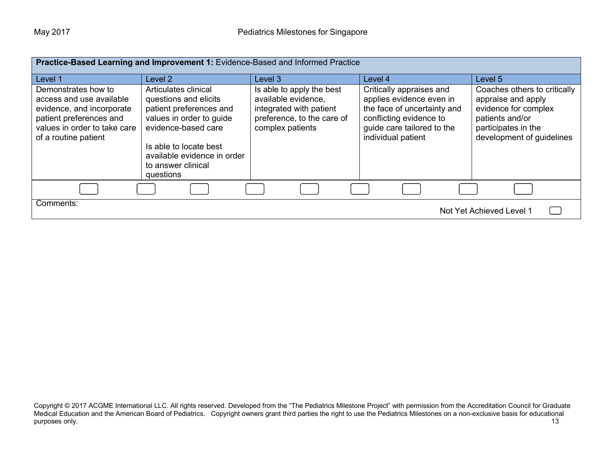| Practice-Based Learning and Improvement 1: Evidence-Based and Informed Practice                                                                                 |                                                                                                                                                                                                                         |                                                                                                                               |                                                                                                                                                                    |                                                                                                                                                   |  |  |
|-----------------------------------------------------------------------------------------------------------------------------------------------------------------|-------------------------------------------------------------------------------------------------------------------------------------------------------------------------------------------------------------------------|-------------------------------------------------------------------------------------------------------------------------------|--------------------------------------------------------------------------------------------------------------------------------------------------------------------|---------------------------------------------------------------------------------------------------------------------------------------------------|--|--|
| Level 1                                                                                                                                                         | Level 2                                                                                                                                                                                                                 | Level 3                                                                                                                       | Level 4                                                                                                                                                            | Level 5                                                                                                                                           |  |  |
| Demonstrates how to<br>access and use available<br>evidence, and incorporate<br>patient preferences and<br>values in order to take care<br>of a routine patient | Articulates clinical<br>questions and elicits<br>patient preferences and<br>values in order to guide<br>evidence-based care<br>Is able to locate best<br>available evidence in order<br>to answer clinical<br>questions | Is able to apply the best<br>available evidence,<br>integrated with patient<br>preference, to the care of<br>complex patients | Critically appraises and<br>applies evidence even in<br>the face of uncertainty and<br>conflicting evidence to<br>guide care tailored to the<br>individual patient | Coaches others to critically<br>appraise and apply<br>evidence for complex<br>patients and/or<br>participates in the<br>development of guidelines |  |  |
|                                                                                                                                                                 |                                                                                                                                                                                                                         |                                                                                                                               |                                                                                                                                                                    |                                                                                                                                                   |  |  |
| Comments:<br>Not Yet Achieved Level 1                                                                                                                           |                                                                                                                                                                                                                         |                                                                                                                               |                                                                                                                                                                    |                                                                                                                                                   |  |  |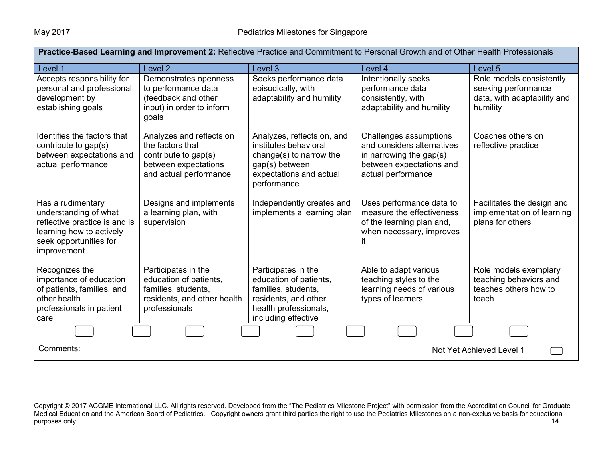| Practice-Based Learning and Improvement 2: Reflective Practice and Commitment to Personal Growth and of Other Health Professionals               |                                                                                                                        |                                                                                                                                              |                                                                                                                                   |                                                                                            |  |  |
|--------------------------------------------------------------------------------------------------------------------------------------------------|------------------------------------------------------------------------------------------------------------------------|----------------------------------------------------------------------------------------------------------------------------------------------|-----------------------------------------------------------------------------------------------------------------------------------|--------------------------------------------------------------------------------------------|--|--|
| Level 1                                                                                                                                          | Level <sub>2</sub>                                                                                                     | Level <sub>3</sub>                                                                                                                           | Level 4                                                                                                                           | Level 5                                                                                    |  |  |
| Accepts responsibility for<br>personal and professional<br>development by<br>establishing goals                                                  | Demonstrates openness<br>to performance data<br>(feedback and other<br>input) in order to inform<br>goals              | Seeks performance data<br>episodically, with<br>adaptability and humility                                                                    | Intentionally seeks<br>performance data<br>consistently, with<br>adaptability and humility                                        | Role models consistently<br>seeking performance<br>data, with adaptability and<br>humility |  |  |
| Identifies the factors that<br>contribute to gap(s)<br>between expectations and<br>actual performance                                            | Analyzes and reflects on<br>the factors that<br>contribute to gap(s)<br>between expectations<br>and actual performance | Analyzes, reflects on, and<br>institutes behavioral<br>change(s) to narrow the<br>gap(s) between<br>expectations and actual<br>performance   | Challenges assumptions<br>and considers alternatives<br>in narrowing the gap(s)<br>between expectations and<br>actual performance | Coaches others on<br>reflective practice                                                   |  |  |
| Has a rudimentary<br>understanding of what<br>reflective practice is and is<br>learning how to actively<br>seek opportunities for<br>improvement | Designs and implements<br>a learning plan, with<br>supervision                                                         | Independently creates and<br>implements a learning plan                                                                                      | Uses performance data to<br>measure the effectiveness<br>of the learning plan and,<br>when necessary, improves<br>it              | Facilitates the design and<br>implementation of learning<br>plans for others               |  |  |
| Recognizes the<br>importance of education<br>of patients, families, and<br>other health<br>professionals in patient<br>care                      | Participates in the<br>education of patients,<br>families, students,<br>residents, and other health<br>professionals   | Participates in the<br>education of patients,<br>families, students,<br>residents, and other<br>health professionals,<br>including effective | Able to adapt various<br>teaching styles to the<br>learning needs of various<br>types of learners                                 | Role models exemplary<br>teaching behaviors and<br>teaches others how to<br>teach          |  |  |
|                                                                                                                                                  |                                                                                                                        |                                                                                                                                              |                                                                                                                                   |                                                                                            |  |  |
| Comments:<br>Not Yet Achieved Level 1                                                                                                            |                                                                                                                        |                                                                                                                                              |                                                                                                                                   |                                                                                            |  |  |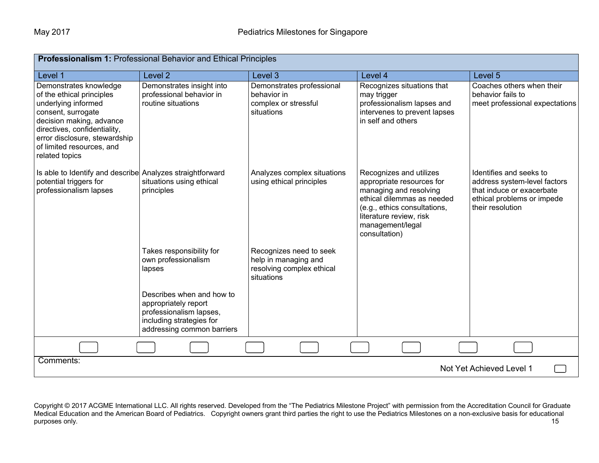| Professionalism 1: Professional Behavior and Ethical Principles                                                                                                                                                                              |                                                                                                                                                                                                     |                                                                                            |                                                                                                                                                                                                              |                                                                                                                                        |  |
|----------------------------------------------------------------------------------------------------------------------------------------------------------------------------------------------------------------------------------------------|-----------------------------------------------------------------------------------------------------------------------------------------------------------------------------------------------------|--------------------------------------------------------------------------------------------|--------------------------------------------------------------------------------------------------------------------------------------------------------------------------------------------------------------|----------------------------------------------------------------------------------------------------------------------------------------|--|
| Level 1                                                                                                                                                                                                                                      | Level <sub>2</sub>                                                                                                                                                                                  | Level 3                                                                                    | Level 4                                                                                                                                                                                                      | Level <sub>5</sub>                                                                                                                     |  |
| Demonstrates knowledge<br>of the ethical principles<br>underlying informed<br>consent, surrogate<br>decision making, advance<br>directives, confidentiality,<br>error disclosure, stewardship<br>of limited resources, and<br>related topics | Demonstrates insight into<br>professional behavior in<br>routine situations                                                                                                                         | Demonstrates professional<br>behavior in<br>complex or stressful<br>situations             | Recognizes situations that<br>may trigger<br>professionalism lapses and<br>intervenes to prevent lapses<br>in self and others                                                                                | Coaches others when their<br>behavior fails to<br>meet professional expectations                                                       |  |
| Is able to Identify and describe Analyzes straightforward<br>potential triggers for<br>professionalism lapses                                                                                                                                | situations using ethical<br>principles                                                                                                                                                              | Analyzes complex situations<br>using ethical principles                                    | Recognizes and utilizes<br>appropriate resources for<br>managing and resolving<br>ethical dilemmas as needed<br>(e.g., ethics consultations,<br>literature review, risk<br>management/legal<br>consultation) | Identifies and seeks to<br>address system-level factors<br>that induce or exacerbate<br>ethical problems or impede<br>their resolution |  |
|                                                                                                                                                                                                                                              | Takes responsibility for<br>own professionalism<br>lapses<br>Describes when and how to<br>appropriately report<br>professionalism lapses,<br>including strategies for<br>addressing common barriers | Recognizes need to seek<br>help in managing and<br>resolving complex ethical<br>situations |                                                                                                                                                                                                              |                                                                                                                                        |  |
|                                                                                                                                                                                                                                              |                                                                                                                                                                                                     |                                                                                            |                                                                                                                                                                                                              |                                                                                                                                        |  |
| Comments:                                                                                                                                                                                                                                    |                                                                                                                                                                                                     |                                                                                            |                                                                                                                                                                                                              |                                                                                                                                        |  |
| Not Yet Achieved Level 1                                                                                                                                                                                                                     |                                                                                                                                                                                                     |                                                                                            |                                                                                                                                                                                                              |                                                                                                                                        |  |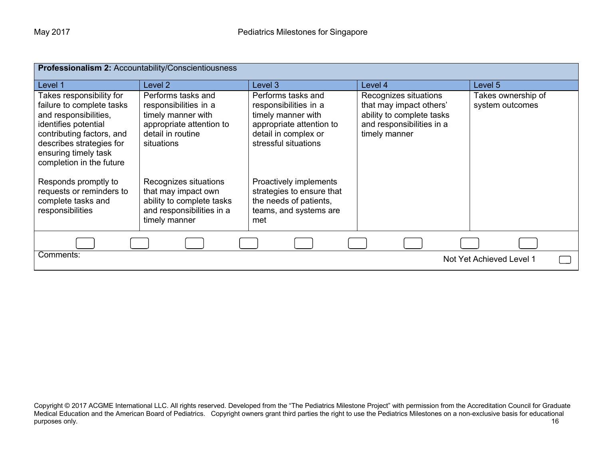| <b>Professionalism 2: Accountability/Conscientiousness</b>                                                                                                                                                          |                                                                                                                                  |                                                                                                                                               |                                                                                                                             |                                       |  |  |
|---------------------------------------------------------------------------------------------------------------------------------------------------------------------------------------------------------------------|----------------------------------------------------------------------------------------------------------------------------------|-----------------------------------------------------------------------------------------------------------------------------------------------|-----------------------------------------------------------------------------------------------------------------------------|---------------------------------------|--|--|
| Level 1                                                                                                                                                                                                             | Level <sub>2</sub>                                                                                                               | Level 3                                                                                                                                       | Level 4                                                                                                                     | Level 5                               |  |  |
| Takes responsibility for<br>failure to complete tasks<br>and responsibilities,<br>identifies potential<br>contributing factors, and<br>describes strategies for<br>ensuring timely task<br>completion in the future | Performs tasks and<br>responsibilities in a<br>timely manner with<br>appropriate attention to<br>detail in routine<br>situations | Performs tasks and<br>responsibilities in a<br>timely manner with<br>appropriate attention to<br>detail in complex or<br>stressful situations | Recognizes situations<br>that may impact others'<br>ability to complete tasks<br>and responsibilities in a<br>timely manner | Takes ownership of<br>system outcomes |  |  |
| Responds promptly to<br>requests or reminders to<br>complete tasks and<br>responsibilities                                                                                                                          | Recognizes situations<br>that may impact own<br>ability to complete tasks<br>and responsibilities in a<br>timely manner          | Proactively implements<br>strategies to ensure that<br>the needs of patients,<br>teams, and systems are<br>met                                |                                                                                                                             |                                       |  |  |
|                                                                                                                                                                                                                     |                                                                                                                                  |                                                                                                                                               |                                                                                                                             |                                       |  |  |
| Comments:                                                                                                                                                                                                           |                                                                                                                                  |                                                                                                                                               |                                                                                                                             | Not Yet Achieved Level 1              |  |  |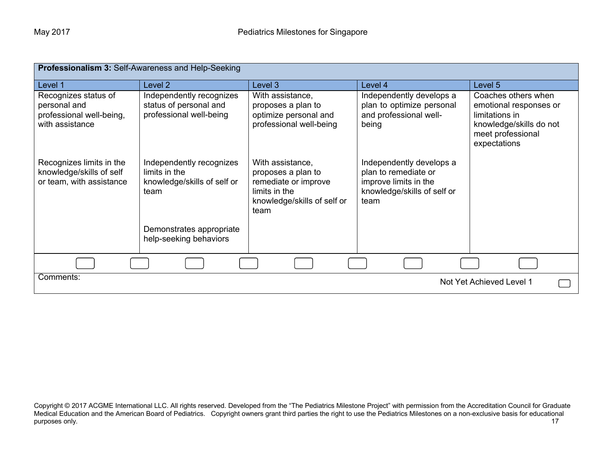| Professionalism 3: Self-Awareness and Help-Seeking                                  |                                                                                  |                                                                                                                        |                                                                                                                  |                                                                                                                                 |  |
|-------------------------------------------------------------------------------------|----------------------------------------------------------------------------------|------------------------------------------------------------------------------------------------------------------------|------------------------------------------------------------------------------------------------------------------|---------------------------------------------------------------------------------------------------------------------------------|--|
| Level 1                                                                             | Level 2                                                                          | Level 3                                                                                                                | Level 4                                                                                                          | Level 5                                                                                                                         |  |
| Recognizes status of<br>personal and<br>professional well-being,<br>with assistance | Independently recognizes<br>status of personal and<br>professional well-being    | With assistance,<br>proposes a plan to<br>optimize personal and<br>professional well-being                             | Independently develops a<br>plan to optimize personal<br>and professional well-<br>being                         | Coaches others when<br>emotional responses or<br>limitations in<br>knowledge/skills do not<br>meet professional<br>expectations |  |
| Recognizes limits in the<br>knowledge/skills of self<br>or team, with assistance    | Independently recognizes<br>limits in the<br>knowledge/skills of self or<br>team | With assistance,<br>proposes a plan to<br>remediate or improve<br>limits in the<br>knowledge/skills of self or<br>team | Independently develops a<br>plan to remediate or<br>improve limits in the<br>knowledge/skills of self or<br>team |                                                                                                                                 |  |
|                                                                                     | Demonstrates appropriate<br>help-seeking behaviors                               |                                                                                                                        |                                                                                                                  |                                                                                                                                 |  |
|                                                                                     |                                                                                  |                                                                                                                        |                                                                                                                  |                                                                                                                                 |  |
| Comments:                                                                           |                                                                                  |                                                                                                                        |                                                                                                                  | Not Yet Achieved Level 1                                                                                                        |  |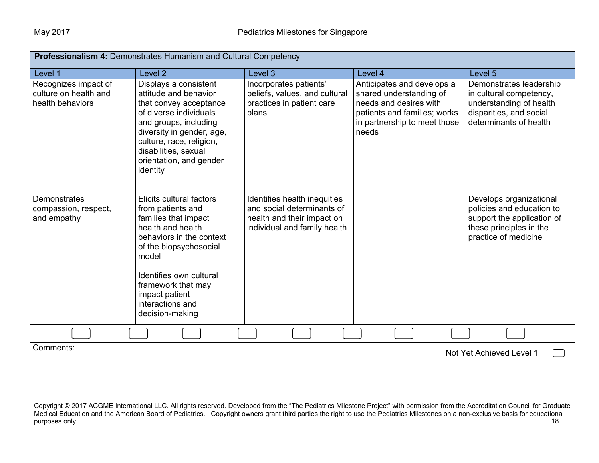| <b>Professionalism 4: Demonstrates Humanism and Cultural Competency</b> |                                                                                                                                                                                                                                                                     |                                                                                                                          |                                                                                                                                                          |                                                                                                                                       |  |  |
|-------------------------------------------------------------------------|---------------------------------------------------------------------------------------------------------------------------------------------------------------------------------------------------------------------------------------------------------------------|--------------------------------------------------------------------------------------------------------------------------|----------------------------------------------------------------------------------------------------------------------------------------------------------|---------------------------------------------------------------------------------------------------------------------------------------|--|--|
| Level 1                                                                 | Level <sub>2</sub>                                                                                                                                                                                                                                                  | Level 3                                                                                                                  | Level 4                                                                                                                                                  | Level 5                                                                                                                               |  |  |
| Recognizes impact of<br>culture on health and<br>health behaviors       | Displays a consistent<br>attitude and behavior<br>that convey acceptance<br>of diverse individuals<br>and groups, including<br>diversity in gender, age,<br>culture, race, religion,<br>disabilities, sexual<br>orientation, and gender<br>identity                 | Incorporates patients'<br>beliefs, values, and cultural<br>practices in patient care<br>plans                            | Anticipates and develops a<br>shared understanding of<br>needs and desires with<br>patients and families; works<br>in partnership to meet those<br>needs | Demonstrates leadership<br>in cultural competency,<br>understanding of health<br>disparities, and social<br>determinants of health    |  |  |
| Demonstrates<br>compassion, respect,<br>and empathy                     | Elicits cultural factors<br>from patients and<br>families that impact<br>health and health<br>behaviors in the context<br>of the biopsychosocial<br>model<br>Identifies own cultural<br>framework that may<br>impact patient<br>interactions and<br>decision-making | Identifies health inequities<br>and social determinants of<br>health and their impact on<br>individual and family health |                                                                                                                                                          | Develops organizational<br>policies and education to<br>support the application of<br>these principles in the<br>practice of medicine |  |  |
|                                                                         |                                                                                                                                                                                                                                                                     |                                                                                                                          |                                                                                                                                                          |                                                                                                                                       |  |  |
| Comments:                                                               |                                                                                                                                                                                                                                                                     |                                                                                                                          |                                                                                                                                                          | Not Yet Achieved Level 1                                                                                                              |  |  |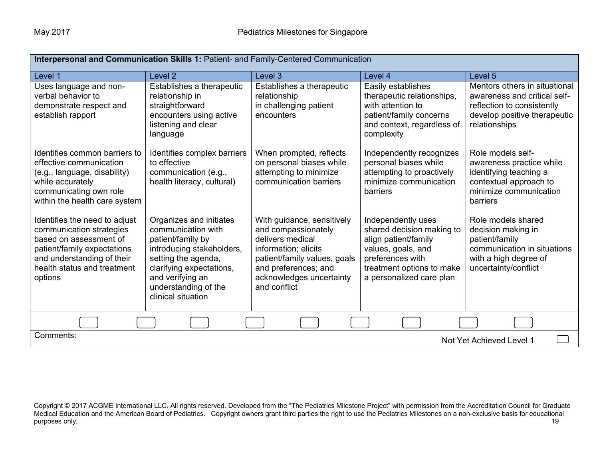| Interpersonal and Communication Skills 1: Patient- and Family-Centered Communication                                                                                                       |                                                                                                                                                                                                                      |                                                                                                                                                                                                   |                                                                                                                                                                            |                                                                                                                                                |  |
|--------------------------------------------------------------------------------------------------------------------------------------------------------------------------------------------|----------------------------------------------------------------------------------------------------------------------------------------------------------------------------------------------------------------------|---------------------------------------------------------------------------------------------------------------------------------------------------------------------------------------------------|----------------------------------------------------------------------------------------------------------------------------------------------------------------------------|------------------------------------------------------------------------------------------------------------------------------------------------|--|
| Level 1                                                                                                                                                                                    | Level <sub>2</sub>                                                                                                                                                                                                   | Level 3                                                                                                                                                                                           | Level 4                                                                                                                                                                    | Level 5                                                                                                                                        |  |
| Uses language and non-<br>verbal behavior to<br>demonstrate respect and<br>establish rapport                                                                                               | Establishes a therapeutic<br>relationship in<br>straightforward<br>encounters using active<br>listening and clear<br>language                                                                                        | Establishes a therapeutic<br>relationship<br>in challenging patient<br>encounters                                                                                                                 | Easily establishes<br>therapeutic relationships,<br>with attention to<br>patient/family concerns<br>and context, regardless of<br>complexity                               | Mentors others in situational<br>awareness and critical self-<br>reflection to consistently<br>develop positive therapeutic<br>relationships   |  |
| Identifies common barriers to<br>effective communication<br>(e.g., language, disability)<br>while accurately<br>communicating own role<br>within the health care system                    | Identifies complex barriers<br>to effective<br>communication (e.g.,<br>health literacy, cultural)                                                                                                                    | When prompted, reflects<br>on personal biases while<br>attempting to minimize<br>communication barriers                                                                                           | Independently recognizes<br>personal biases while<br>attempting to proactively<br>minimize communication<br>barriers                                                       | Role models self-<br>awareness practice while<br>identifying teaching a<br>contextual approach to<br>minimize communication<br><b>barriers</b> |  |
| Identifies the need to adjust<br>communication strategies<br>based on assessment of<br>patient/family expectations<br>and understanding of their<br>health status and treatment<br>options | Organizes and initiates<br>communication with<br>patient/family by<br>introducing stakeholders,<br>setting the agenda,<br>clarifying expectations,<br>and verifying an<br>understanding of the<br>clinical situation | With guidance, sensitively<br>and compassionately<br>delivers medical<br>information; elicits<br>patient/family values, goals<br>and preferences; and<br>acknowledges uncertainty<br>and conflict | Independently uses<br>shared decision making to<br>align patient/family<br>values, goals, and<br>preferences with<br>treatment options to make<br>a personalized care plan | Role models shared<br>decision making in<br>patient/family<br>communication in situations<br>with a high degree of<br>uncertainty/conflict     |  |
|                                                                                                                                                                                            |                                                                                                                                                                                                                      |                                                                                                                                                                                                   |                                                                                                                                                                            |                                                                                                                                                |  |
| Comments:<br>Not Yet Achieved Level 1                                                                                                                                                      |                                                                                                                                                                                                                      |                                                                                                                                                                                                   |                                                                                                                                                                            |                                                                                                                                                |  |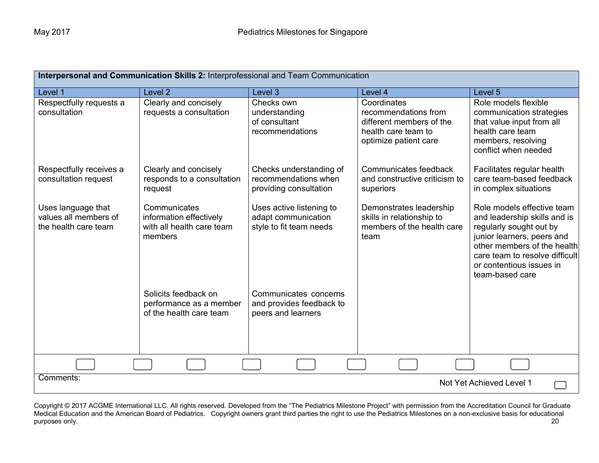| Interpersonal and Communication Skills 2: Interprofessional and Team Communication |                                                                                 |                                                                            |                                                                                                                 |                                                                                                                                                                                                                                     |  |
|------------------------------------------------------------------------------------|---------------------------------------------------------------------------------|----------------------------------------------------------------------------|-----------------------------------------------------------------------------------------------------------------|-------------------------------------------------------------------------------------------------------------------------------------------------------------------------------------------------------------------------------------|--|
| Level 1                                                                            | Level <sub>2</sub>                                                              | Level 3                                                                    | Level 4                                                                                                         | Level 5                                                                                                                                                                                                                             |  |
| Respectfully requests a<br>consultation                                            | Clearly and concisely<br>requests a consultation                                | Checks own<br>understanding<br>of consultant<br>recommendations            | Coordinates<br>recommendations from<br>different members of the<br>health care team to<br>optimize patient care | Role models flexible<br>communication strategies<br>that value input from all<br>health care team<br>members, resolving<br>conflict when needed                                                                                     |  |
| Respectfully receives a<br>consultation request                                    | Clearly and concisely<br>responds to a consultation<br>request                  | Checks understanding of<br>recommendations when<br>providing consultation  | Communicates feedback<br>and constructive criticism to<br>superiors                                             | Facilitates regular health<br>care team-based feedback<br>in complex situations                                                                                                                                                     |  |
| Uses language that<br>values all members of<br>the health care team                | Communicates<br>information effectively<br>with all health care team<br>members | Uses active listening to<br>adapt communication<br>style to fit team needs | Demonstrates leadership<br>skills in relationship to<br>members of the health care<br>team                      | Role models effective team<br>and leadership skills and is<br>regularly sought out by<br>junior learners, peers and<br>other members of the health<br>care team to resolve difficult<br>or contentious issues in<br>team-based care |  |
|                                                                                    | Solicits feedback on<br>performance as a member<br>of the health care team      | Communicates concerns<br>and provides feedback to<br>peers and learners    |                                                                                                                 |                                                                                                                                                                                                                                     |  |
|                                                                                    |                                                                                 |                                                                            |                                                                                                                 |                                                                                                                                                                                                                                     |  |
| Comments:<br>Not Yet Achieved Level 1                                              |                                                                                 |                                                                            |                                                                                                                 |                                                                                                                                                                                                                                     |  |